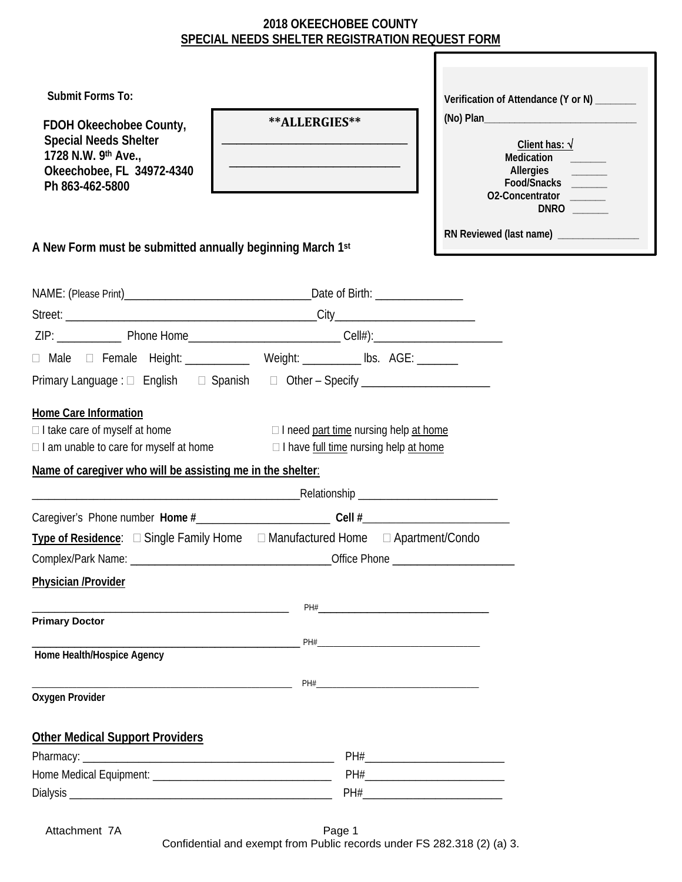## **2018 OKEECHOBEE COUNTY SPECIAL NEEDS SHELTER REGISTRATION REQUEST FORM**

Г

| <b>Submit Forms To:</b>                                                                                                                                                                                                          |                                                                                                                                                                                                 | Verification of Attendance (Y or N) ______                                                        |
|----------------------------------------------------------------------------------------------------------------------------------------------------------------------------------------------------------------------------------|-------------------------------------------------------------------------------------------------------------------------------------------------------------------------------------------------|---------------------------------------------------------------------------------------------------|
| FDOH Okeechobee County,<br><b>Special Needs Shelter</b><br>1728 N.W. 9th Ave.,<br>Okeechobee, FL 34972-4340<br>Ph 863-462-5800                                                                                                   | <b>**ALLERGIES**</b><br><u> 2000 - 2000 - 2000 - 2000 - 2000 - 2000 - 2000 - 2000 - 2000 - 2000 - 2000 - 2000 - 2000 - 2000 - 2000 - 200</u><br><u> 1989 - Johann John Stone, mars et al. (</u> | Client has: $\sqrt{ }$<br>Medication _____<br>Allergies<br>Food/Snacks<br>O2-Concentrator<br>DNRO |
| A New Form must be submitted annually beginning March 1st                                                                                                                                                                        |                                                                                                                                                                                                 | RN Reviewed (last name) _______________                                                           |
|                                                                                                                                                                                                                                  |                                                                                                                                                                                                 |                                                                                                   |
|                                                                                                                                                                                                                                  |                                                                                                                                                                                                 |                                                                                                   |
|                                                                                                                                                                                                                                  |                                                                                                                                                                                                 |                                                                                                   |
| □ Male □ Female Height: ____________ Weight: __________ lbs. AGE: _______                                                                                                                                                        |                                                                                                                                                                                                 |                                                                                                   |
| Primary Language : □ English □ Spanish □ Other - Specify ______________________                                                                                                                                                  |                                                                                                                                                                                                 |                                                                                                   |
| <b>Home Care Information</b><br>$\Box$ I take care of myself at home<br>$\Box$ I am unable to care for myself at home $\Box$ I have full time nursing help at home<br>Name of caregiver who will be assisting me in the shelter: | □ I need part time nursing help at home                                                                                                                                                         |                                                                                                   |
|                                                                                                                                                                                                                                  |                                                                                                                                                                                                 |                                                                                                   |
|                                                                                                                                                                                                                                  |                                                                                                                                                                                                 |                                                                                                   |
|                                                                                                                                                                                                                                  |                                                                                                                                                                                                 |                                                                                                   |
| <b>Type of Residence:</b> $\Box$ Single Family Home $\Box$ Manufactured Home $\Box$ Apartment/Condo<br>Complex/Park Name:                                                                                                        |                                                                                                                                                                                                 |                                                                                                   |
|                                                                                                                                                                                                                                  |                                                                                                                                                                                                 | Office Phone                                                                                      |
| Physician /Provider                                                                                                                                                                                                              |                                                                                                                                                                                                 |                                                                                                   |
| <b>Primary Doctor</b>                                                                                                                                                                                                            |                                                                                                                                                                                                 |                                                                                                   |
|                                                                                                                                                                                                                                  |                                                                                                                                                                                                 |                                                                                                   |
| Home Health/Hospice Agency                                                                                                                                                                                                       |                                                                                                                                                                                                 |                                                                                                   |
|                                                                                                                                                                                                                                  |                                                                                                                                                                                                 |                                                                                                   |
| Oxygen Provider                                                                                                                                                                                                                  |                                                                                                                                                                                                 |                                                                                                   |
| <b>Other Medical Support Providers</b>                                                                                                                                                                                           |                                                                                                                                                                                                 |                                                                                                   |
|                                                                                                                                                                                                                                  |                                                                                                                                                                                                 |                                                                                                   |
|                                                                                                                                                                                                                                  |                                                                                                                                                                                                 |                                                                                                   |
|                                                                                                                                                                                                                                  |                                                                                                                                                                                                 |                                                                                                   |

Attachment 7A **Page 1** Confidential and exempt from Public records under FS 282.318 (2) (a) 3.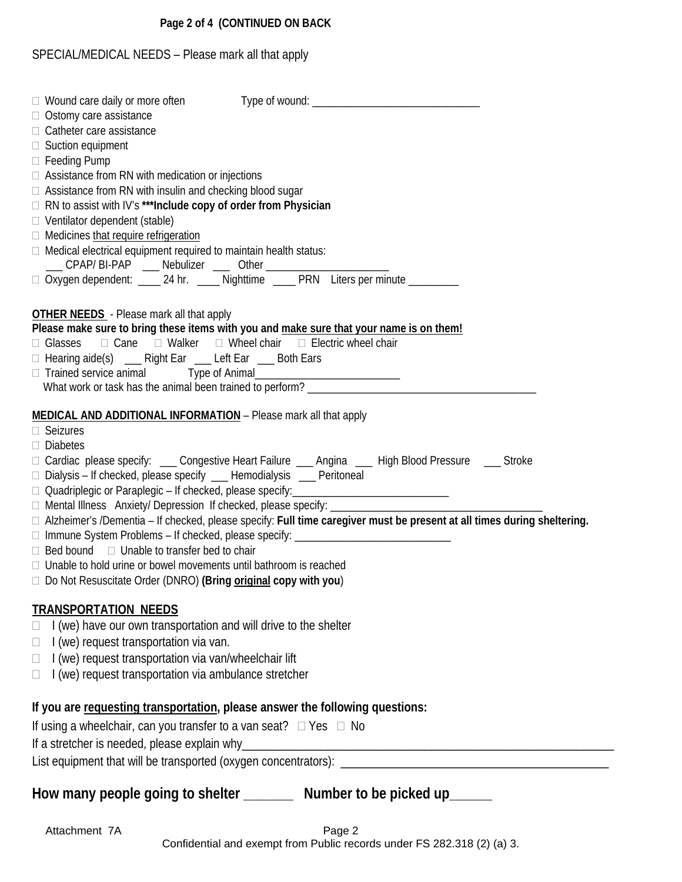### **Page 2 of 4 (CONTINUED ON BACK**

## SPECIAL/MEDICAL NEEDS – Please mark all that apply

| □ Wound care daily or more often Type of wound: ________________________________<br>$\Box$ Ostomy care assistance<br>$\Box$ Catheter care assistance<br>$\Box$ Suction equipment<br>$\Box$ Feeding Pump<br>$\Box$ Assistance from RN with medication or injections<br>□ Assistance from RN with insulin and checking blood sugar<br>$\Box$ RN to assist with IV's *** Include copy of order from Physician<br>$\Box$ Ventilator dependent (stable)<br>$\Box$ Medicines that require refrigeration<br>$\Box$ Medical electrical equipment required to maintain health status:<br><u>CPAP/BI-PAP</u> Nebulizer 10ther Merrell Divideo Daygen dependent: 1.1 24 hr. 1.1 Nighttime 1.1 PRN Liters per minute                                    |  |  |  |  |
|---------------------------------------------------------------------------------------------------------------------------------------------------------------------------------------------------------------------------------------------------------------------------------------------------------------------------------------------------------------------------------------------------------------------------------------------------------------------------------------------------------------------------------------------------------------------------------------------------------------------------------------------------------------------------------------------------------------------------------------------|--|--|--|--|
| <b>OTHER NEEDS</b> - Please mark all that apply<br>Please make sure to bring these items with you and make sure that your name is on them!<br>$\Box$ Cane $\Box$ Walker $\Box$ Wheel chair $\Box$ Electric wheel chair<br>$\Box$ Glasses<br>□ Hearing aide(s) ___ Right Ear ___ Left Ear ___ Both Ears                                                                                                                                                                                                                                                                                                                                                                                                                                      |  |  |  |  |
| <b>MEDICAL AND ADDITIONAL INFORMATION</b> - Please mark all that apply<br>$\Box$ Seizures<br>$\Box$ Diabetes<br>□ Cardiac please specify: ___ Congestive Heart Failure ___ Angina ___ High Blood Pressure ___ Stroke<br>$\Box$ Dialysis – If checked, please specify $\Box$ Hemodialysis $\Box$ Peritoneal<br>□ Alzheimer's /Dementia - If checked, please specify: Full time caregiver must be present at all times during sheltering.<br>□ Immune System Problems – If checked, please specify: _________________________<br>$\Box$ Bed bound $\Box$ Unable to transfer bed to chair<br>$\Box$ Unable to hold urine or bowel movements until bathroom is reached<br>$\Box$ Do Not Resuscitate Order (DNRO) (Bring original copy with you) |  |  |  |  |
| <b>TRANSPORTATION NEEDS</b><br>I (we) have our own transportation and will drive to the shelter<br>I (we) request transportation via van.<br>Ш<br>I (we) request transportation via van/wheelchair lift<br>$\Box$<br>I (we) request transportation via ambulance stretcher                                                                                                                                                                                                                                                                                                                                                                                                                                                                  |  |  |  |  |
| If you are requesting transportation, please answer the following questions:<br>If using a wheelchair, can you transfer to a van seat? $\Box$ Yes $\Box$ No<br>If a stretcher is needed, please explain why_<br><u> 1989 - Jan James James James James James James James James James James James James James James James James J</u>                                                                                                                                                                                                                                                                                                                                                                                                        |  |  |  |  |
| How many people going to shelter ________ Number to be picked up______                                                                                                                                                                                                                                                                                                                                                                                                                                                                                                                                                                                                                                                                      |  |  |  |  |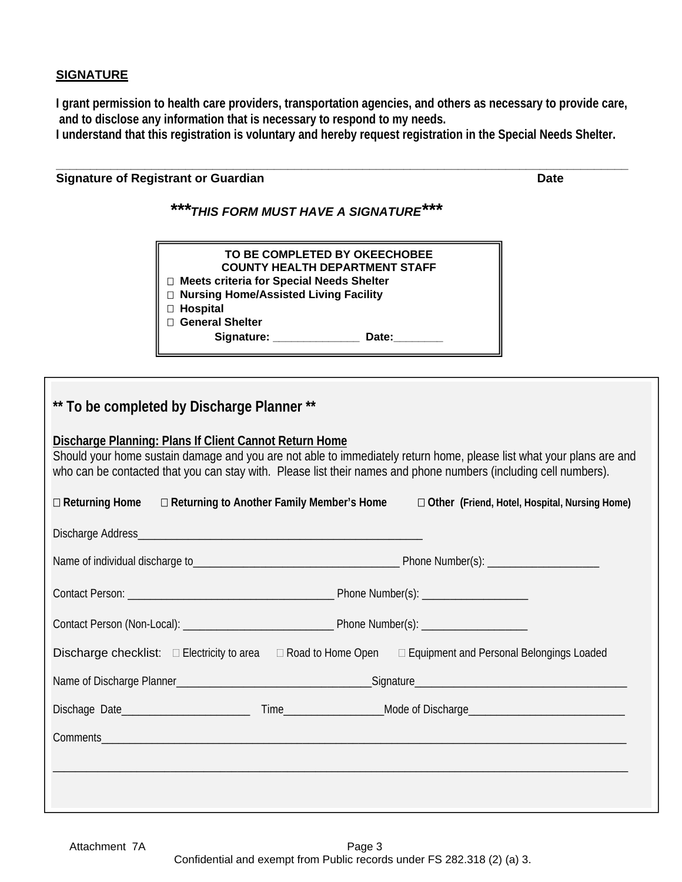#### **SIGNATURE**

**I grant permission to health care providers, transportation agencies, and others as necessary to provide care, and to disclose any information that is necessary to respond to my needs.** 

**\_\_\_\_\_\_\_\_\_\_\_\_\_\_\_\_\_\_\_\_\_\_\_\_\_\_\_\_\_\_\_\_\_\_\_\_\_\_\_\_\_\_\_\_\_\_\_\_\_\_\_\_\_\_\_\_\_\_\_\_\_\_\_\_\_\_\_\_\_\_\_\_\_\_\_\_\_\_\_\_\_\_\_\_** 

**I understand that this registration is voluntary and hereby request registration in the Special Needs Shelter.** 

| <b>Signature of Registrant or Guardian</b>                                                                                                                                                                                                                                                         | <b>Date</b>                                                                                                                                                                                                                                     |                                                 |  |  |  |
|----------------------------------------------------------------------------------------------------------------------------------------------------------------------------------------------------------------------------------------------------------------------------------------------------|-------------------------------------------------------------------------------------------------------------------------------------------------------------------------------------------------------------------------------------------------|-------------------------------------------------|--|--|--|
|                                                                                                                                                                                                                                                                                                    | ***THIS FORM MUST HAVE A SIGNATURE***                                                                                                                                                                                                           |                                                 |  |  |  |
|                                                                                                                                                                                                                                                                                                    | TO BE COMPLETED BY OKEECHOBEE<br><b>COUNTY HEALTH DEPARTMENT STAFF</b><br>□ Meets criteria for Special Needs Shelter<br>□ Nursing Home/Assisted Living Facility<br>□ Hospital<br>General Shelter<br>Signature: _________________ Date: ________ |                                                 |  |  |  |
| ** To be completed by Discharge Planner **                                                                                                                                                                                                                                                         |                                                                                                                                                                                                                                                 |                                                 |  |  |  |
| Discharge Planning: Plans If Client Cannot Return Home<br>Should your home sustain damage and you are not able to immediately return home, please list what your plans are and<br>who can be contacted that you can stay with. Please list their names and phone numbers (including cell numbers). |                                                                                                                                                                                                                                                 |                                                 |  |  |  |
| □ Returning Home                                                                                                                                                                                                                                                                                   | □ Returning to Another Family Member's Home                                                                                                                                                                                                     | □ Other (Friend, Hotel, Hospital, Nursing Home) |  |  |  |
|                                                                                                                                                                                                                                                                                                    |                                                                                                                                                                                                                                                 |                                                 |  |  |  |
|                                                                                                                                                                                                                                                                                                    |                                                                                                                                                                                                                                                 |                                                 |  |  |  |
|                                                                                                                                                                                                                                                                                                    |                                                                                                                                                                                                                                                 |                                                 |  |  |  |
|                                                                                                                                                                                                                                                                                                    |                                                                                                                                                                                                                                                 |                                                 |  |  |  |
| Discharge checklist: $\Box$ Electricity to area $\Box$ Road to Home Open $\Box$ Equipment and Personal Belongings Loaded                                                                                                                                                                           |                                                                                                                                                                                                                                                 |                                                 |  |  |  |
|                                                                                                                                                                                                                                                                                                    |                                                                                                                                                                                                                                                 |                                                 |  |  |  |
| Dischage Date                                                                                                                                                                                                                                                                                      | Time________________________Mode of Discharge___________________________________                                                                                                                                                                |                                                 |  |  |  |
|                                                                                                                                                                                                                                                                                                    |                                                                                                                                                                                                                                                 |                                                 |  |  |  |
|                                                                                                                                                                                                                                                                                                    |                                                                                                                                                                                                                                                 |                                                 |  |  |  |
|                                                                                                                                                                                                                                                                                                    |                                                                                                                                                                                                                                                 |                                                 |  |  |  |
|                                                                                                                                                                                                                                                                                                    |                                                                                                                                                                                                                                                 |                                                 |  |  |  |